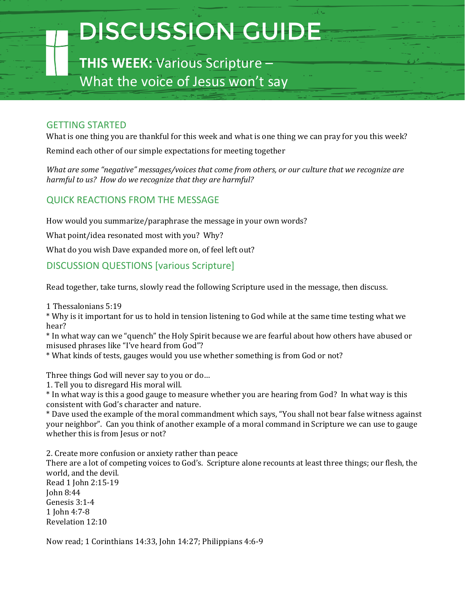## DISCUSSION GUIDE

**THIS WEEK:** Various Scripture – What the voice of Jesus won't say

## GETTING STARTED

What is one thing you are thankful for this week and what is one thing we can pray for you this week?

Remind each other of our simple expectations for meeting together

*What are some "negative" messages/voices that come from others, or our culture that we recognize are harmful to us? How do we recognize that they are harmful?*

## QUICK REACTIONS FROM THE MESSAGE

How would you summarize/paraphrase the message in your own words?

What point/idea resonated most with you? Why?

What do you wish Dave expanded more on, of feel left out?

## DISCUSSION QUESTIONS [various Scripture]

Read together, take turns, slowly read the following Scripture used in the message, then discuss.

1 Thessalonians 5:19

\* Why is it important for us to hold in tension listening to God while at the same time testing what we hear?

\* In what way can we "quench" the Holy Spirit because we are fearful about how others have abused or misused phrases like "I've heard from God"?

\* What kinds of tests, gauges would you use whether something is from God or not?

Three things God will never say to you or do…

1. Tell you to disregard His moral will.

\* In what way is this a good gauge to measure whether you are hearing from God? In what way is this consistent with God's character and nature.

\* Dave used the example of the moral commandment which says, "You shall not bear false witness against your neighbor". Can you think of another example of a moral command in Scripture we can use to gauge whether this is from Jesus or not?

2. Create more confusion or anxiety rather than peace There are a lot of competing voices to God's. Scripture alone recounts at least three things; our flesh, the world, and the devil.

Read 1 John 2:15-19 John 8:44 Genesis 3:1-4 1 John 4:7-8 Revelation 12:10

Now read; 1 Corinthians 14:33, John 14:27; Philippians 4:6-9